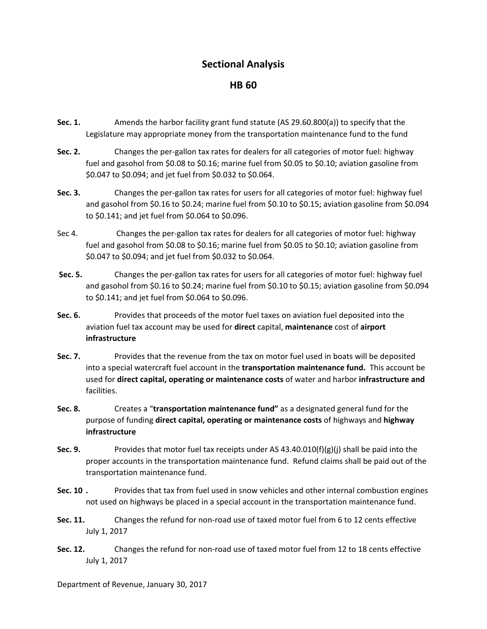## **Sectional Analysis**

## **HB 60**

- **Sec. 1.** Amends the harbor facility grant fund statute (AS 29.60.800(a)) to specify that the Legislature may appropriate money from the transportation maintenance fund to the fund
- **Sec. 2.**  Changes the per‐gallon tax rates for dealers for all categories of motor fuel: highway fuel and gasohol from \$0.08 to \$0.16; marine fuel from \$0.05 to \$0.10; aviation gasoline from \$0.047 to \$0.094; and jet fuel from \$0.032 to \$0.064.
- **Sec. 3.**  Changes the per‐gallon tax rates for users for all categories of motor fuel: highway fuel and gasohol from \$0.16 to \$0.24; marine fuel from \$0.10 to \$0.15; aviation gasoline from \$0.094 to \$0.141; and jet fuel from \$0.064 to \$0.096.
- Sec 4. Changes the per‐gallon tax rates for dealers for all categories of motor fuel: highway fuel and gasohol from \$0.08 to \$0.16; marine fuel from \$0.05 to \$0.10; aviation gasoline from \$0.047 to \$0.094; and jet fuel from \$0.032 to \$0.064.
- **Sec. 5.** Changes the per‐gallon tax rates for users for all categories of motor fuel: highway fuel and gasohol from \$0.16 to \$0.24; marine fuel from \$0.10 to \$0.15; aviation gasoline from \$0.094 to \$0.141; and jet fuel from \$0.064 to \$0.096.
- **Sec. 6. Example 1** Provides that proceeds of the motor fuel taxes on aviation fuel deposited into the aviation fuel tax account may be used for **direct** capital, **maintenance** cost of **airport infrastructure**
- **Sec. 7.**  Provides that the revenue from the tax on motor fuel used in boats will be deposited into a special watercraft fuel account in the **transportation maintenance fund.** This account be used for **direct capital, operating or maintenance costs** of water and harbor **infrastructure and** facilities.
- **Sec. 8.**  Creates a "**transportation maintenance fund"** as a designated general fund for the purpose of funding **direct capital, operating or maintenance costs** of highways and **highway infrastructure**
- **Sec. 9.** Provides that motor fuel tax receipts under AS 43.40.010(f)(g)(j) shall be paid into the proper accounts in the transportation maintenance fund. Refund claims shall be paid out of the transportation maintenance fund.
- **Sec. 10 .** Provides that tax from fuel used in snow vehicles and other internal combustion engines not used on highways be placed in a special account in the transportation maintenance fund.
- **Sec. 11.**  Changes the refund for non‐road use of taxed motor fuel from 6 to 12 cents effective July 1, 2017
- **Sec. 12.** Changes the refund for non‐road use of taxed motor fuel from 12 to 18 cents effective July 1, 2017